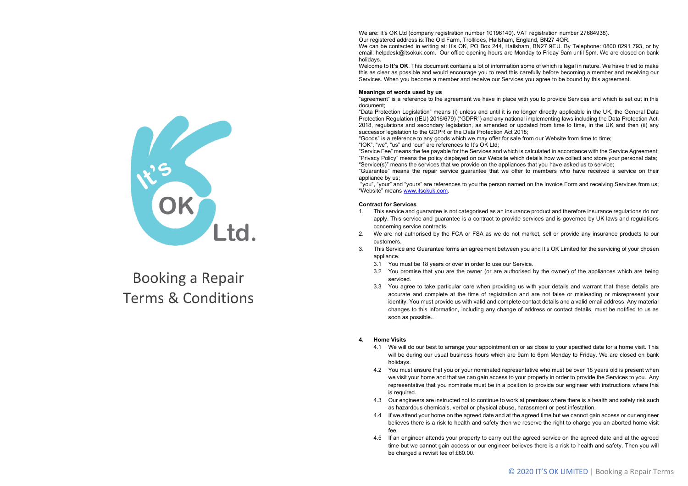# Booking a Repair Terms & Conditions

We are: It's OK Ltd (company registration number 10196140). VAT registration number 27684938). Our registered address is:The Old Farm, Trolliloes, Hailsham, England, BN27 4QR.

We can be contacted in writing at: It's OK, PO Box 244, Hailsham, BN27 9EU. By Telephone: 0800 0291 793, or by email: helpdesk@itsokuk.com. Our office opening hours are Monday to Friday 9am until 5pm. We are closed on bank holidays.

Welcome to **It's OK**. This document contains a lot of information some of which is legal in nature. We have tried to make this as clear as possible and would encourage you to read this carefully before becoming a member and receiving our Services. When you become a member and receive our Services you agree to be bound by this agreement.

## **Meanings of words used by us**

"agreement" is a reference to the agreement we have in place with you to provide Services and which is set out in this document;

"Data Protection Legislation" means (i) unless and until it is no longer directly applicable in the UK, the General Data Protection Regulation ((EU) 2016/679) ("GDPR") and any national implementing laws including the Data Protection Act, 2018, regulations and secondary legislation, as amended or updated from time to time, in the UK and then (ii) any successor legislation to the GDPR or the Data Protection Act 2018;

"Goods" is a reference to any goods which we may offer for sale from our Website from time to time;

"IOK", "we", "us" and "our" are references to It's OK Ltd;

"Service Fee" means the fee payable for the Services and which is calculated in accordance with the Service Agreement; "Privacy Policy" means the policy displayed on our Website which details how we collect and store your personal data; "Service(s)" means the services that we provide on the appliances that you have asked us to service;

"Guarantee" means the repair service guarantee that we offer to members who have received a service on their appliance by us;

"you", "your" and "yours" are references to you the person named on the Invoice Form and receiving Services from us; "Website" means www.itsokuk.com.

## **Contract for Services**

- 1. This service and guarantee is not categorised as an insurance product and therefore insurance regulations do not apply. This service and guarantee is a contract to provide services and is governed by UK laws and regulations concerning service contracts.
- 2. We are not authorised by the FCA or FSA as we do not market, sell or provide any insurance products to our customers.
- 3. This Service and Guarantee forms an agreement between you and It's OK Limited for the servicing of your chosen appliance.
	- 3.1 You must be 18 years or over in order to use our Service.
	- 3.2 You promise that you are the owner (or are authorised by the owner) of the appliances which are being serviced.
	- 3.3 You agree to take particular care when providing us with your details and warrant that these details are accurate and complete at the time of registration and are not false or misleading or misrepresent your identity. You must provide us with valid and complete contact details and a valid email address. Any material changes to this information, including any change of address or contact details, must be notified to us as soon as possible..

## **4. Home Visits**

- 4.1 We will do our best to arrange your appointment on or as close to your specified date for a home visit. This will be during our usual business hours which are 9am to 6pm Monday to Friday. We are closed on bank holidays.
- 4.2 You must ensure that you or your nominated representative who must be over 18 years old is present when we visit your home and that we can gain access to your property in order to provide the Services to you. Any representative that you nominate must be in a position to provide our engineer with instructions where this is required.
- 4.3 Our engineers are instructed not to continue to work at premises where there is a health and safety risk such as hazardous chemicals, verbal or physical abuse, harassment or pest infestation.
- 4.4 If we attend your home on the agreed date and at the agreed time but we cannot gain access or our engineer believes there is a risk to health and safety then we reserve the right to charge you an aborted home visit fee.
- 4.5 If an engineer attends your property to carry out the agreed service on the agreed date and at the agreed time but we cannot gain access or our engineer believes there is a risk to health and safety. Then you will be charged a revisit fee of £60.00.